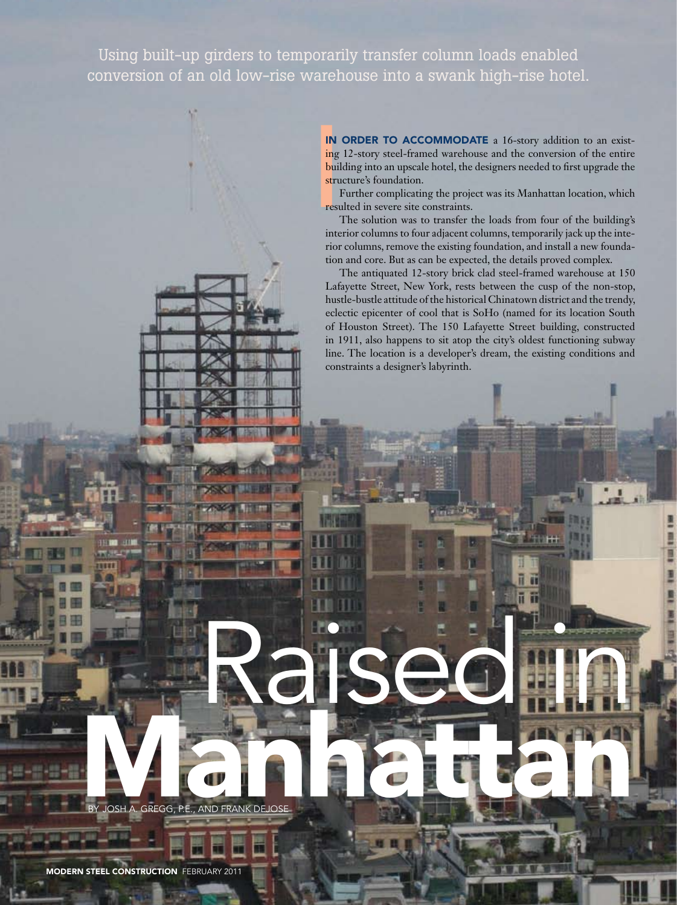Using built-up girders to temporarily transfer column loads enabled conversion of an old low-rise warehouse into a swank high-rise hotel.

> IN ( IN ORDER TO ACCOMMODATE a 16-story addition to an existing 12-story steel-framed warehouse and the conversion of the entire building into an upscale hotel, the designers needed to first upgrade the structure's foundation.

Further complicating the project was its Manhattan location, which resulted in severe site constraints.

The solution was to transfer the loads from four of the building's interior columns to four adjacent columns, temporarily jack up the interior columns, remove the existing foundation, and install a new foundation and core. But as can be expected, the details proved complex.

The antiquated 12-story brick clad steel-framed warehouse at 150 Lafayette Street, New York, rests between the cusp of the non-stop, hustle-bustle attitude of the historical Chinatown district and the trendy, eclectic epicenter of cool that is SoHo (named for its location South of Houston Street). The 150 Lafayette Street building, constructed in 1911, also happens to sit atop the city's oldest functioning subway line. The location is a developer's dream, the existing conditions and constraints a designer's labyrinth.

> m ä

Raised iin l

RANHATTAN MERANK DELON By Josh A. Gregg, P.E., and Frank DeJose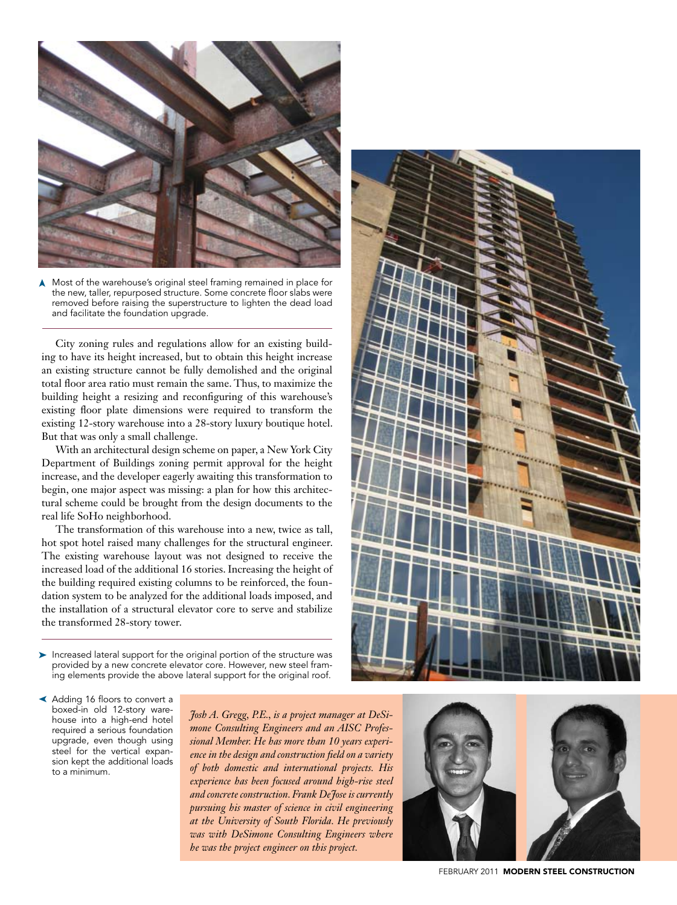

Most of the warehouse's original steel framing remained in place for the new, taller, repurposed structure. Some concrete floor slabs were removed before raising the superstructure to lighten the dead load and facilitate the foundation upgrade. ➤

City zoning rules and regulations allow for an existing building to have its height increased, but to obtain this height increase an existing structure cannot be fully demolished and the original total floor area ratio must remain the same. Thus, to maximize the building height a resizing and reconfiguring of this warehouse's existing floor plate dimensions were required to transform the existing 12-story warehouse into a 28-story luxury boutique hotel. But that was only a small challenge.

With an architectural design scheme on paper, a New York City Department of Buildings zoning permit approval for the height increase, and the developer eagerly awaiting this transformation to begin, one major aspect was missing: a plan for how this architectural scheme could be brought from the design documents to the real life SoHo neighborhood.

The transformation of this warehouse into a new, twice as tall, hot spot hotel raised many challenges for the structural engineer. The existing warehouse layout was not designed to receive the increased load of the additional 16 stories. Increasing the height of the building required existing columns to be reinforced, the foundation system to be analyzed for the additional loads imposed, and the installation of a structural elevator core to serve and stabilize the transformed 28-story tower.

▶ Increased lateral support for the original portion of the structure was provided by a new concrete elevator core. However, new steel framing elements provide the above lateral support for the original roof.

➤ Adding 16 floors to convert a boxed-in old 12-story warehouse into a high-end hotel required a serious foundation upgrade, even though using steel for the vertical expansion kept the additional loads to a minimum.

*Josh A. Gregg, P.E., is a project manager at DeSimone Consulting Engineers and an AISC Professional Member. He has more than 10 years experience in the design and construction field on a variety of both domestic and international projects. His experience has been focused around high-rise steel and concrete construction. Frank DeJose is currently pursuing his master of science in civil engineering at the University of South Florida. He previously was with DeSimone Consulting Engineers where he was the project engineer on this project.*





february 2011MODERN STEEL CONSTRUCTION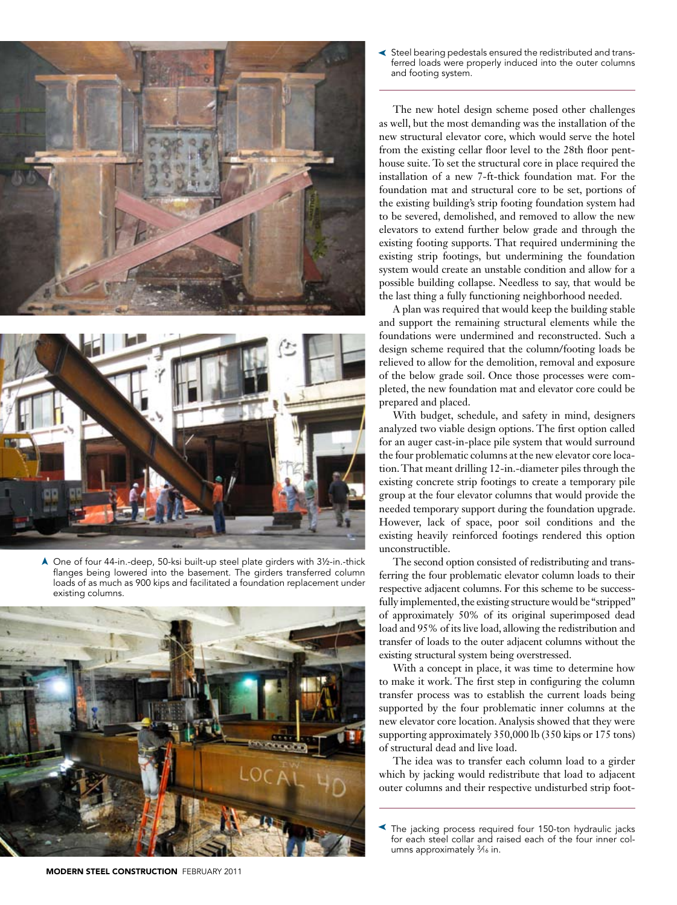



One of four 44-in.-deep, 50-ksi built-up steel plate girders with 3½-in.-thick ➤flanges being lowered into the basement. The girders transferred column loads of as much as 900 kips and facilitated a foundation replacement under existing columns.



Steel bearing pedestals ensured the redistributed and trans-➤ ferred loads were properly induced into the outer columns and footing system.

The new hotel design scheme posed other challenges as well, but the most demanding was the installation of the new structural elevator core, which would serve the hotel from the existing cellar floor level to the 28th floor penthouse suite. To set the structural core in place required the installation of a new 7-ft-thick foundation mat. For the foundation mat and structural core to be set, portions of the existing building's strip footing foundation system had to be severed, demolished, and removed to allow the new elevators to extend further below grade and through the existing footing supports. That required undermining the existing strip footings, but undermining the foundation system would create an unstable condition and allow for a possible building collapse. Needless to say, that would be the last thing a fully functioning neighborhood needed.

A plan was required that would keep the building stable and support the remaining structural elements while the foundations were undermined and reconstructed. Such a design scheme required that the column/footing loads be relieved to allow for the demolition, removal and exposure of the below grade soil. Once those processes were completed, the new foundation mat and elevator core could be prepared and placed.

With budget, schedule, and safety in mind, designers analyzed two viable design options. The first option called for an auger cast-in-place pile system that would surround the four problematic columns at the new elevator core location. That meant drilling 12-in.-diameter piles through the existing concrete strip footings to create a temporary pile group at the four elevator columns that would provide the needed temporary support during the foundation upgrade. However, lack of space, poor soil conditions and the existing heavily reinforced footings rendered this option unconstructible.

The second option consisted of redistributing and transferring the four problematic elevator column loads to their respective adjacent columns. For this scheme to be successfully implemented, the existing structure would be "stripped" of approximately 50% of its original superimposed dead load and 95% of its live load, allowing the redistribution and transfer of loads to the outer adjacent columns without the existing structural system being overstressed.

With a concept in place, it was time to determine how to make it work. The first step in configuring the column transfer process was to establish the current loads being supported by the four problematic inner columns at the new elevator core location. Analysis showed that they were supporting approximately 350,000 lb (350 kips or 175 tons) of structural dead and live load.

The idea was to transfer each column load to a girder which by jacking would redistribute that load to adjacent outer columns and their respective undisturbed strip foot-

MODERN STEEL CONSTRUCTION february 2011

The jacking process required four 150-ton hydraulic jacks for each steel collar and raised each of the four inner columns approximately 3*⁄*16 in. ➤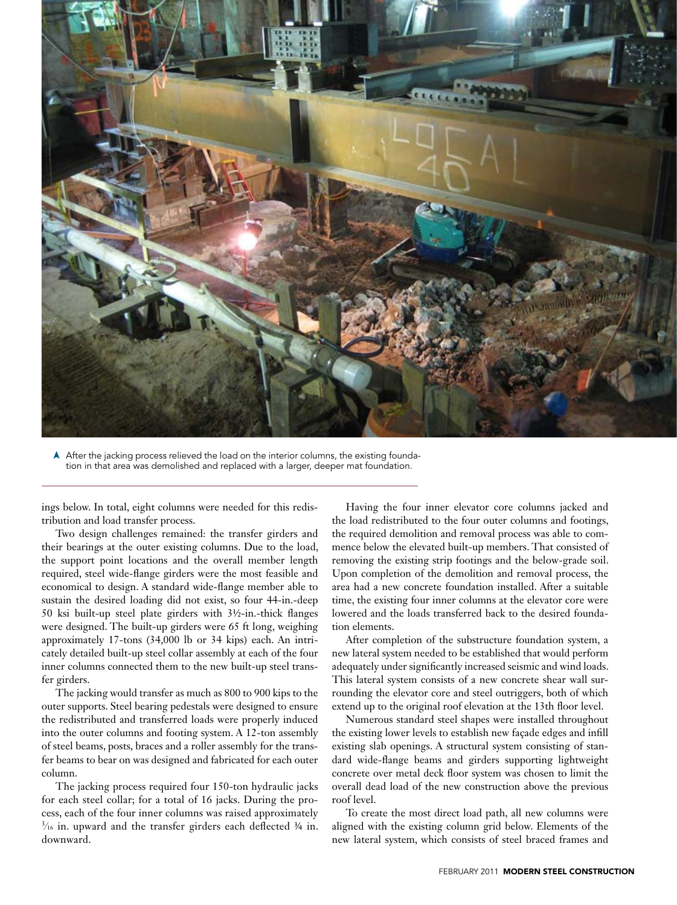

After the jacking process relieved the load on the interior columns, the existing foundation in that area was demolished and replaced with a larger, deeper mat foundation. ➤

ings below. In total, eight columns were needed for this redistribution and load transfer process.

Two design challenges remained: the transfer girders and their bearings at the outer existing columns. Due to the load, the support point locations and the overall member length required, steel wide-flange girders were the most feasible and economical to design. A standard wide-flange member able to sustain the desired loading did not exist, so four 44-in.-deep 50 ksi built-up steel plate girders with 3½-in.-thick flanges were designed. The built-up girders were 65 ft long, weighing approximately 17-tons (34,000 lb or 34 kips) each. An intricately detailed built-up steel collar assembly at each of the four inner columns connected them to the new built-up steel transfer girders.

The jacking would transfer as much as 800 to 900 kips to the outer supports. Steel bearing pedestals were designed to ensure the redistributed and transferred loads were properly induced into the outer columns and footing system. A 12-ton assembly of steel beams, posts, braces and a roller assembly for the transfer beams to bear on was designed and fabricated for each outer column.

The jacking process required four 150-ton hydraulic jacks for each steel collar; for a total of 16 jacks. During the process, each of the four inner columns was raised approximately  $\frac{3}{16}$  in. upward and the transfer girders each deflected  $\frac{3}{4}$  in. downward.

Having the four inner elevator core columns jacked and the load redistributed to the four outer columns and footings, the required demolition and removal process was able to commence below the elevated built-up members. That consisted of removing the existing strip footings and the below-grade soil. Upon completion of the demolition and removal process, the area had a new concrete foundation installed. After a suitable time, the existing four inner columns at the elevator core were lowered and the loads transferred back to the desired foundation elements.

After completion of the substructure foundation system, a new lateral system needed to be established that would perform adequately under significantly increased seismic and wind loads. This lateral system consists of a new concrete shear wall surrounding the elevator core and steel outriggers, both of which extend up to the original roof elevation at the 13th floor level.

Numerous standard steel shapes were installed throughout the existing lower levels to establish new façade edges and infill existing slab openings. A structural system consisting of standard wide-flange beams and girders supporting lightweight concrete over metal deck floor system was chosen to limit the overall dead load of the new construction above the previous roof level.

To create the most direct load path, all new columns were aligned with the existing column grid below. Elements of the new lateral system, which consists of steel braced frames and